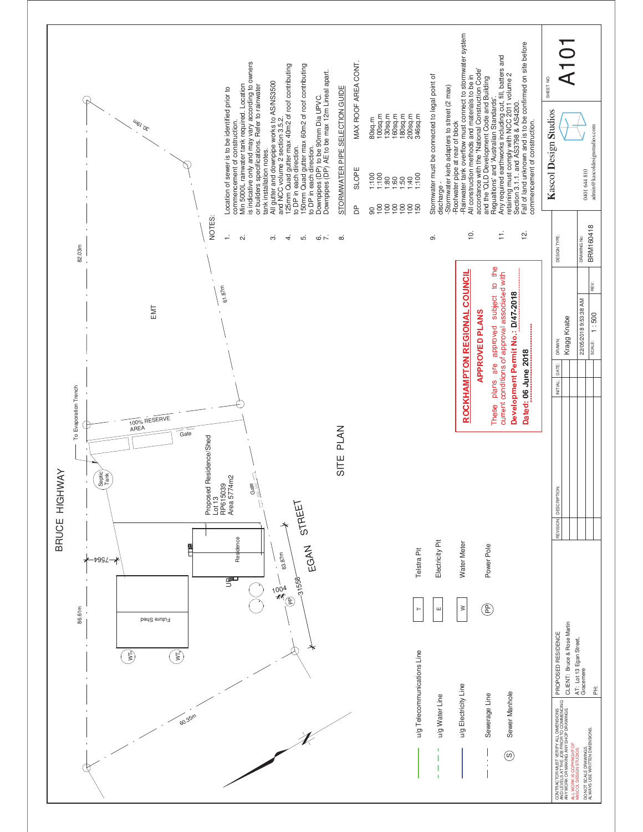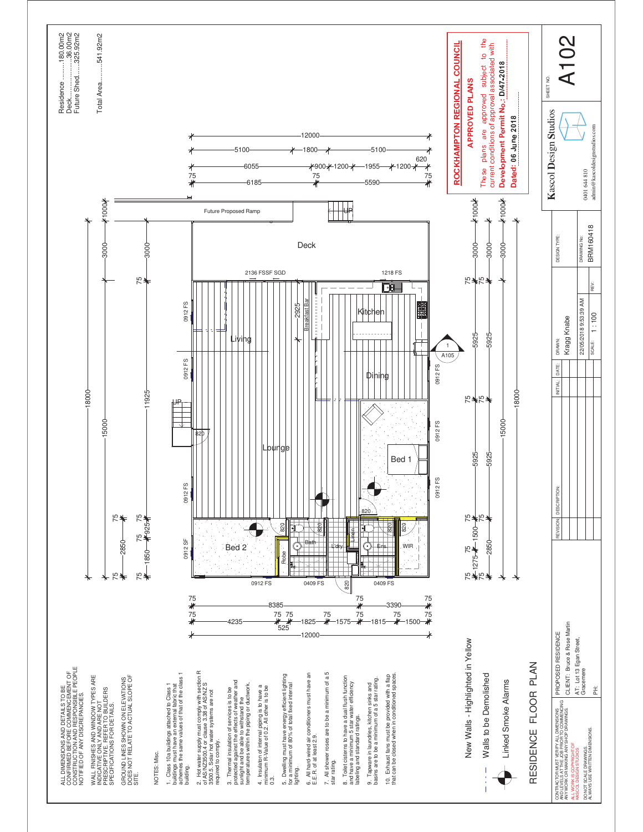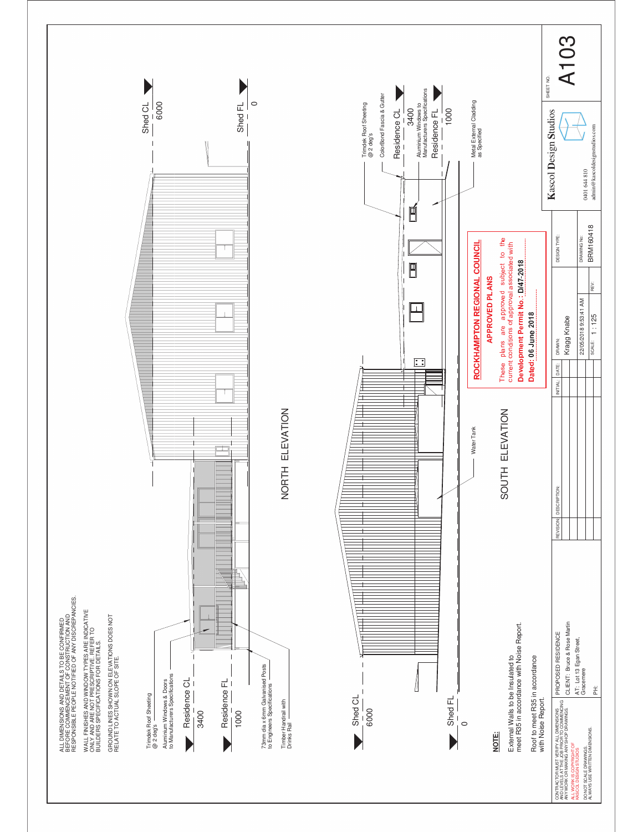